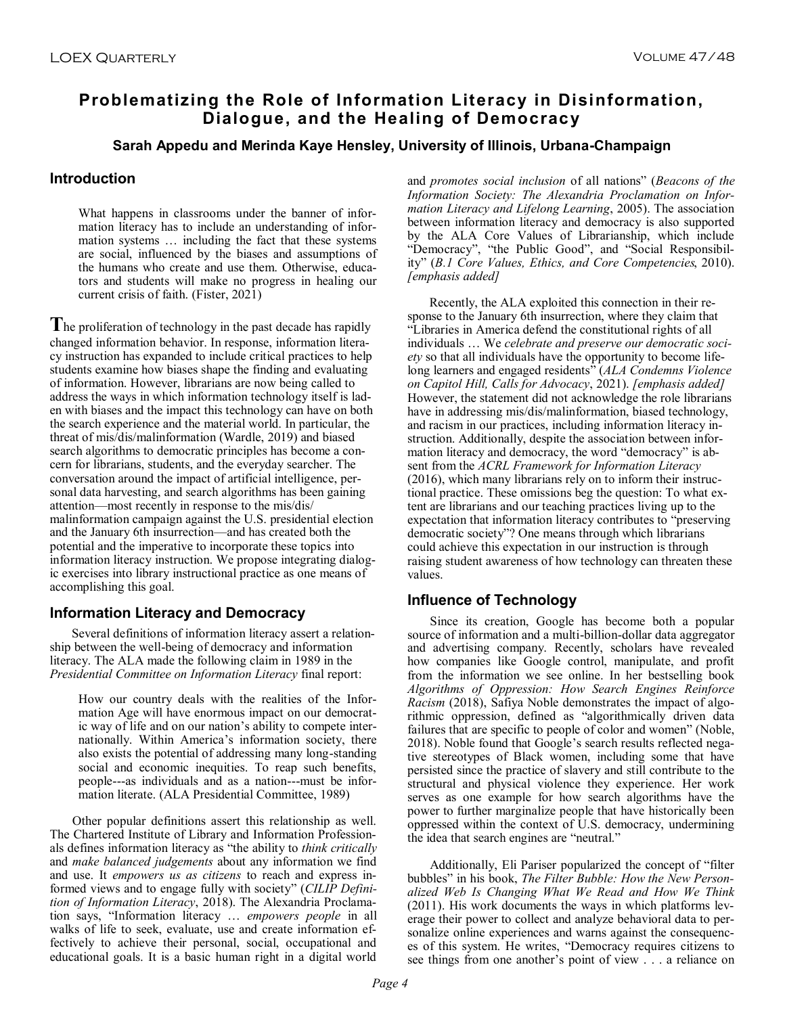# **Problematizing the Role of Information Literacy in Disinformation, Dialogue, and the Healing of Democracy**

### **Sarah Appedu and Merinda Kaye Hensley, University of Illinois, Urbana-Champaign**

## **Introduction**

What happens in classrooms under the banner of information literacy has to include an understanding of information systems … including the fact that these systems are social, influenced by the biases and assumptions of the humans who create and use them. Otherwise, educators and students will make no progress in healing our current crisis of faith. (Fister, 2021)

**T**he proliferation of technology in the past decade has rapidly changed information behavior. In response, information literacy instruction has expanded to include critical practices to help students examine how biases shape the finding and evaluating of information. However, librarians are now being called to address the ways in which information technology itself is laden with biases and the impact this technology can have on both the search experience and the material world. In particular, the threat of mis/dis/malinformation (Wardle, 2019) and biased search algorithms to democratic principles has become a concern for librarians, students, and the everyday searcher. The conversation around the impact of artificial intelligence, personal data harvesting, and search algorithms has been gaining attention—most recently in response to the mis/dis/ malinformation campaign against the U.S. presidential election and the January 6th insurrection—and has created both the potential and the imperative to incorporate these topics into information literacy instruction. We propose integrating dialogic exercises into library instructional practice as one means of accomplishing this goal.

# **Information Literacy and Democracy**

Several definitions of information literacy assert a relationship between the well-being of democracy and information literacy. The ALA made the following claim in 1989 in the *Presidential Committee on Information Literacy* final report:

How our country deals with the realities of the Information Age will have enormous impact on our democratic way of life and on our nation's ability to compete internationally. Within America's information society, there also exists the potential of addressing many long-standing social and economic inequities. To reap such benefits, people---as individuals and as a nation---must be information literate. (ALA Presidential Committee, 1989)

Other popular definitions assert this relationship as well. The Chartered Institute of Library and Information Professionals defines information literacy as "the ability to *think critically* and *make balanced judgements* about any information we find and use. It *empowers us as citizens* to reach and express informed views and to engage fully with society" (*CILIP Definition of Information Literacy*, 2018). The Alexandria Proclamation says, "Information literacy … *empowers people* in all walks of life to seek, evaluate, use and create information effectively to achieve their personal, social, occupational and educational goals. It is a basic human right in a digital world

and *promotes social inclusion* of all nations" (*Beacons of the Information Society: The Alexandria Proclamation on Information Literacy and Lifelong Learning*, 2005). The association between information literacy and democracy is also supported by the ALA Core Values of Librarianship, which include "Democracy", "the Public Good", and "Social Responsibility" (*B.1 Core Values, Ethics, and Core Competencies*, 2010). *[emphasis added]*

Recently, the ALA exploited this connection in their response to the January 6th insurrection, where they claim that "Libraries in America defend the constitutional rights of all individuals … We *celebrate and preserve our democratic society* so that all individuals have the opportunity to become lifelong learners and engaged residents" (*ALA Condemns Violence on Capitol Hill, Calls for Advocacy*, 2021). *[emphasis added]* However, the statement did not acknowledge the role librarians have in addressing mis/dis/malinformation, biased technology, and racism in our practices, including information literacy instruction. Additionally, despite the association between information literacy and democracy, the word "democracy" is absent from the *ACRL Framework for Information Literacy*  (2016), which many librarians rely on to inform their instructional practice. These omissions beg the question: To what extent are librarians and our teaching practices living up to the expectation that information literacy contributes to "preserving democratic society"? One means through which librarians could achieve this expectation in our instruction is through raising student awareness of how technology can threaten these values.

# **Influence of Technology**

Since its creation, Google has become both a popular source of information and a multi-billion-dollar data aggregator and advertising company. Recently, scholars have revealed how companies like Google control, manipulate, and profit from the information we see online. In her bestselling book *Algorithms of Oppression: How Search Engines Reinforce Racism* (2018), Safiya Noble demonstrates the impact of algorithmic oppression, defined as "algorithmically driven data failures that are specific to people of color and women" (Noble, 2018). Noble found that Google's search results reflected negative stereotypes of Black women, including some that have persisted since the practice of slavery and still contribute to the structural and physical violence they experience. Her work serves as one example for how search algorithms have the power to further marginalize people that have historically been oppressed within the context of U.S. democracy, undermining the idea that search engines are "neutral."

Additionally, Eli Pariser popularized the concept of "filter bubbles" in his book, *The Filter Bubble: How the New Personalized Web Is Changing What We Read and How We Think* (2011). His work documents the ways in which platforms leverage their power to collect and analyze behavioral data to personalize online experiences and warns against the consequences of this system. He writes, "Democracy requires citizens to see things from one another's point of view . . . a reliance on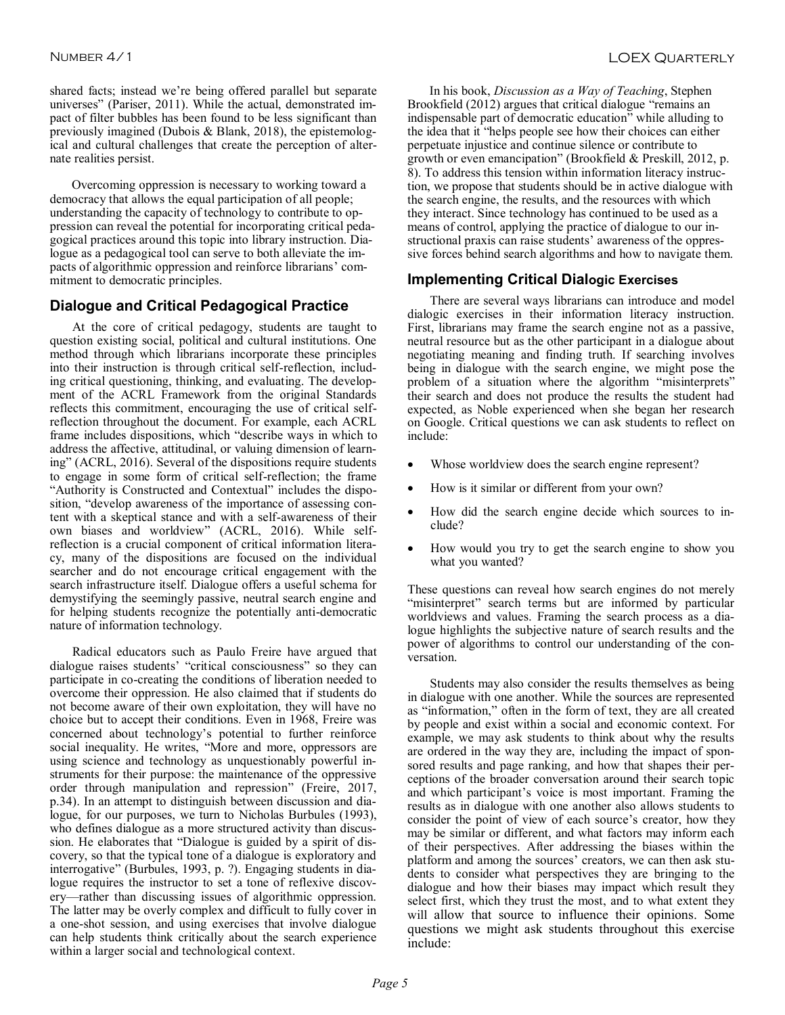shared facts; instead we're being offered parallel but separate universes" (Pariser, 2011). While the actual, demonstrated impact of filter bubbles has been found to be less significant than previously imagined (Dubois & Blank, 2018), the epistemological and cultural challenges that create the perception of alternate realities persist.

Overcoming oppression is necessary to working toward a democracy that allows the equal participation of all people; understanding the capacity of technology to contribute to oppression can reveal the potential for incorporating critical pedagogical practices around this topic into library instruction. Dialogue as a pedagogical tool can serve to both alleviate the impacts of algorithmic oppression and reinforce librarians' commitment to democratic principles.

#### **Dialogue and Critical Pedagogical Practice**

At the core of critical pedagogy, students are taught to question existing social, political and cultural institutions. One method through which librarians incorporate these principles into their instruction is through critical self-reflection, including critical questioning, thinking, and evaluating. The development of the ACRL Framework from the original Standards reflects this commitment, encouraging the use of critical selfreflection throughout the document. For example, each ACRL frame includes dispositions, which "describe ways in which to address the affective, attitudinal, or valuing dimension of learning" (ACRL, 2016). Several of the dispositions require students to engage in some form of critical self-reflection; the frame "Authority is Constructed and Contextual" includes the disposition, "develop awareness of the importance of assessing content with a skeptical stance and with a self-awareness of their own biases and worldview" (ACRL, 2016). While selfreflection is a crucial component of critical information literacy, many of the dispositions are focused on the individual searcher and do not encourage critical engagement with the search infrastructure itself. Dialogue offers a useful schema for demystifying the seemingly passive, neutral search engine and for helping students recognize the potentially anti-democratic nature of information technology.

Radical educators such as Paulo Freire have argued that dialogue raises students' "critical consciousness" so they can participate in co-creating the conditions of liberation needed to overcome their oppression. He also claimed that if students do not become aware of their own exploitation, they will have no choice but to accept their conditions. Even in 1968, Freire was concerned about technology's potential to further reinforce social inequality. He writes, "More and more, oppressors are using science and technology as unquestionably powerful instruments for their purpose: the maintenance of the oppressive order through manipulation and repression" (Freire, 2017, p.34). In an attempt to distinguish between discussion and dialogue, for our purposes, we turn to Nicholas Burbules (1993), who defines dialogue as a more structured activity than discussion. He elaborates that "Dialogue is guided by a spirit of discovery, so that the typical tone of a dialogue is exploratory and interrogative" (Burbules, 1993, p. ?). Engaging students in dialogue requires the instructor to set a tone of reflexive discovery—rather than discussing issues of algorithmic oppression. The latter may be overly complex and difficult to fully cover in a one-shot session, and using exercises that involve dialogue can help students think critically about the search experience within a larger social and technological context.

In his book, *Discussion as a Way of Teaching*, Stephen Brookfield (2012) argues that critical dialogue "remains an indispensable part of democratic education" while alluding to the idea that it "helps people see how their choices can either perpetuate injustice and continue silence or contribute to growth or even emancipation" (Brookfield & Preskill, 2012, p. 8). To address this tension within information literacy instruction, we propose that students should be in active dialogue with the search engine, the results, and the resources with which they interact. Since technology has continued to be used as a means of control, applying the practice of dialogue to our instructional praxis can raise students' awareness of the oppressive forces behind search algorithms and how to navigate them.

#### **Implementing Critical Dialogic Exercises**

There are several ways librarians can introduce and model dialogic exercises in their information literacy instruction. First, librarians may frame the search engine not as a passive, neutral resource but as the other participant in a dialogue about negotiating meaning and finding truth. If searching involves being in dialogue with the search engine, we might pose the problem of a situation where the algorithm "misinterprets" their search and does not produce the results the student had expected, as Noble experienced when she began her research on Google. Critical questions we can ask students to reflect on include:

- Whose worldview does the search engine represent?
- How is it similar or different from your own?
- How did the search engine decide which sources to include?
- How would you try to get the search engine to show you what you wanted?

These questions can reveal how search engines do not merely "misinterpret" search terms but are informed by particular worldviews and values. Framing the search process as a dialogue highlights the subjective nature of search results and the power of algorithms to control our understanding of the conversation.

Students may also consider the results themselves as being in dialogue with one another. While the sources are represented as "information," often in the form of text, they are all created by people and exist within a social and economic context. For example, we may ask students to think about why the results are ordered in the way they are, including the impact of sponsored results and page ranking, and how that shapes their perceptions of the broader conversation around their search topic and which participant's voice is most important. Framing the results as in dialogue with one another also allows students to consider the point of view of each source's creator, how they may be similar or different, and what factors may inform each of their perspectives. After addressing the biases within the platform and among the sources' creators, we can then ask students to consider what perspectives they are bringing to the dialogue and how their biases may impact which result they select first, which they trust the most, and to what extent they will allow that source to influence their opinions. Some questions we might ask students throughout this exercise include: